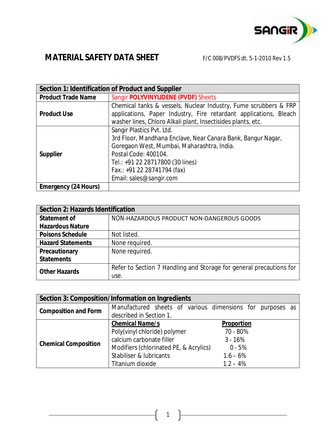

| Section 1: Identification of Product and Supplier |                                                                                                                                                                                                                                                               |  |
|---------------------------------------------------|---------------------------------------------------------------------------------------------------------------------------------------------------------------------------------------------------------------------------------------------------------------|--|
| <b>Product Trade Name</b>                         | Sangir POLYVINYLIDENE (PVDF) Sheets                                                                                                                                                                                                                           |  |
| <b>Product Use</b>                                | Chemical tanks & vessels, Nuclear Industry, Fume scrubbers & FRP<br>applications, Paper Industry, Fire retardant applications, Bleach<br>washer lines, Chloro Alkali plant, Insectisides plants, etc.                                                         |  |
| <b>Supplier</b>                                   | Sangir Plastics Pvt. Ltd.<br>3rd Floor, Mandhana Enclave, Near Canara Bank, Bangur Nagar,<br>Goregaon West, Mumbai, Maharashtra, India.<br>Postal Code: 400104.<br>Tel.: +91 22 28717800 (30 lines)<br>Fax.: +91 22 28741794 (fax)<br>Email: sales@sangir.com |  |
| <b>Emergency (24 Hours)</b>                       |                                                                                                                                                                                                                                                               |  |

| <b>Section 2: Hazards Identification</b> |                                                                     |
|------------------------------------------|---------------------------------------------------------------------|
| <b>Statement of</b>                      | NON-HAZARDOUS PRODUCT NON-DANGEROUS GOODS                           |
| <b>Hazardous Nature</b>                  |                                                                     |
| <b>Poisons Schedule</b>                  | Not listed.                                                         |
| <b>Hazard Statements</b>                 | None required.                                                      |
| <b>Precautionary</b>                     | None required.                                                      |
| <b>Statements</b>                        |                                                                     |
| <b>Other Hazards</b>                     | Refer to Section 7 Handling and Storage for general precautions for |
|                                          | use.                                                                |

| <b>Section 3: Composition/Information on Ingredients</b> |                                                           |                   |  |  |
|----------------------------------------------------------|-----------------------------------------------------------|-------------------|--|--|
| <b>Composition and Form</b>                              | Manufactured sheets of various dimensions for purposes as |                   |  |  |
|                                                          | described in Section 1.                                   |                   |  |  |
| <b>Chemical Composition</b>                              | <b>Chemical Name/s</b>                                    | <b>Proportion</b> |  |  |
|                                                          | Poly(vinyl chloride) polymer                              | 70 - 80%          |  |  |
|                                                          | calcium carbonate filler                                  | $3 - 16%$         |  |  |
|                                                          | Modifiers (chlorinated PE, & Acrylics)                    | $0 - 5%$          |  |  |
|                                                          | Stabiliser & lubricants                                   | $1.6 - 6%$        |  |  |
|                                                          | Titanium dioxide                                          | $1.2 - 4%$        |  |  |

1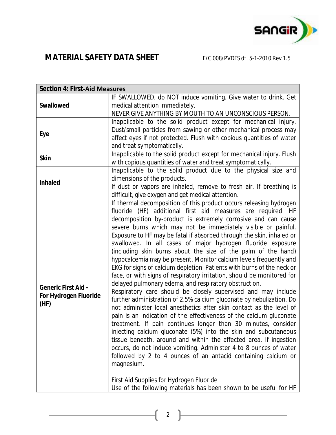

| <b>Section 4: First-Aid Measures</b> |                                                                                                                                     |  |
|--------------------------------------|-------------------------------------------------------------------------------------------------------------------------------------|--|
|                                      | IF SWALLOWED, do NOT induce vomiting. Give water to drink. Get                                                                      |  |
| <b>Swallowed</b>                     | medical attention immediately.                                                                                                      |  |
|                                      | NEVER GIVE ANYTHING BY MOUTH TO AN UNCONSCIOUS PERSON.                                                                              |  |
|                                      | Inapplicable to the solid product except for mechanical injury.                                                                     |  |
| <b>Eye</b>                           | Dust/small particles from sawing or other mechanical process may                                                                    |  |
|                                      | affect eyes if not protected. Flush with copious quantities of water                                                                |  |
|                                      | and treat symptomatically.                                                                                                          |  |
| <b>Skin</b>                          | Inapplicable to the solid product except for mechanical injury. Flush                                                               |  |
|                                      | with copious quantities of water and treat symptomatically.                                                                         |  |
|                                      | Inapplicable to the solid product due to the physical size and                                                                      |  |
| <b>Inhaled</b>                       | dimensions of the products.                                                                                                         |  |
|                                      | If dust or vapors are inhaled, remove to fresh air. If breathing is                                                                 |  |
|                                      | difficult, give oxygen and get medical attention.                                                                                   |  |
|                                      | If thermal decomposition of this product occurs releasing hydrogen                                                                  |  |
|                                      | fluoride (HF) additional first aid measures are required. HF                                                                        |  |
|                                      | decomposition by-product is extremely corrosive and can cause                                                                       |  |
|                                      | severe burns which may not be immediately visible or painful.                                                                       |  |
|                                      | Exposure to HF may be fatal if absorbed through the skin, inhaled or<br>swallowed. In all cases of major hydrogen fluoride exposure |  |
|                                      | (including skin burns about the size of the palm of the hand)                                                                       |  |
|                                      | hypocalcemia may be present. Monitor calcium levels frequently and                                                                  |  |
|                                      | EKG for signs of calcium depletion. Patients with burns of the neck or                                                              |  |
|                                      | face, or with signs of respiratory irritation, should be monitored for                                                              |  |
|                                      | delayed pulmonary edema, and respiratory obstruction.                                                                               |  |
| <b>Generic First Aid -</b>           | Respiratory care should be closely supervised and may include                                                                       |  |
| For Hydrogen Fluoride                | further administration of 2.5% calcium gluconate by nebulization. Do                                                                |  |
| (HF)                                 | not administer local anesthetics after skin contact as the level of                                                                 |  |
|                                      | pain is an indication of the effectiveness of the calcium gluconate                                                                 |  |
|                                      | treatment. If pain continues longer than 30 minutes, consider                                                                       |  |
|                                      | injecting calcium gluconate (5%) into the skin and subcutaneous                                                                     |  |
|                                      | tissue beneath, around and within the affected area. If ingestion                                                                   |  |
|                                      | occurs, do not induce vomiting. Administer 4 to 8 ounces of water                                                                   |  |
|                                      | followed by 2 to 4 ounces of an antacid containing calcium or                                                                       |  |
|                                      | magnesium.                                                                                                                          |  |
|                                      |                                                                                                                                     |  |
|                                      | First Aid Supplies for Hydrogen Fluoride                                                                                            |  |
|                                      | Use of the following materials has been shown to be useful for HF                                                                   |  |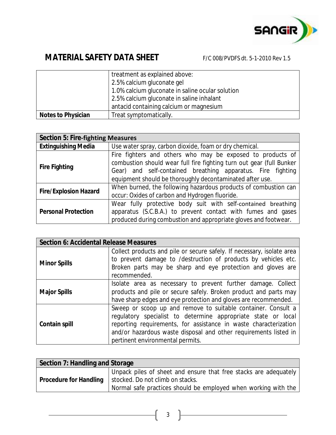

|                           | treatment as explained above:                    |
|---------------------------|--------------------------------------------------|
|                           | 2.5% calcium gluconate gel                       |
|                           | 1.0% calcium gluconate in saline ocular solution |
|                           | 2.5% calcium gluconate in saline inhalant        |
|                           | antacid containing calcium or magnesium          |
| <b>Notes to Physician</b> | Treat symptomatically.                           |

| <b>Section 5: Fire-fighting Measures</b> |                                                                                                                                                                                                                                                               |  |
|------------------------------------------|---------------------------------------------------------------------------------------------------------------------------------------------------------------------------------------------------------------------------------------------------------------|--|
| <b>Extinguishing Media</b>               | Use water spray, carbon dioxide, foam or dry chemical.                                                                                                                                                                                                        |  |
| <b>Fire Fighting</b>                     | Fire fighters and others who may be exposed to products of<br>combustion should wear full fire fighting turn out gear (full Bunker<br>Gear) and self-contained breathing apparatus. Fire fighting<br>equipment should be thoroughly decontaminated after use. |  |
| <b>Fire/Explosion Hazard</b>             | When burned, the following hazardous products of combustion can<br>occur: Oxides of carbon and Hydrogen fluoride.                                                                                                                                             |  |
| <b>Personal Protection</b>               | Wear fully protective body suit with self-contained breathing<br>apparatus (S.C.B.A.) to prevent contact with fumes and gases<br>produced during combustion and appropriate gloves and footwear.                                                              |  |

| <b>Section 6: Accidental Release Measures</b> |                                                                        |  |
|-----------------------------------------------|------------------------------------------------------------------------|--|
| <b>Minor Spills</b>                           | Collect products and pile or secure safely. If necessary, isolate area |  |
|                                               | to prevent damage to /destruction of products by vehicles etc.         |  |
|                                               | Broken parts may be sharp and eye protection and gloves are            |  |
|                                               | recommended.                                                           |  |
| <b>Major Spills</b>                           | Isolate area as necessary to prevent further damage. Collect           |  |
|                                               | products and pile or secure safely. Broken product and parts may       |  |
|                                               | have sharp edges and eye protection and gloves are recommended.        |  |
| <b>Contain spill</b>                          | Sweep or scoop up and remove to suitable container. Consult a          |  |
|                                               | regulatory specialist to determine appropriate state or local          |  |
|                                               | reporting requirements, for assistance in waste characterization       |  |
|                                               | and/or hazardous waste disposal and other requirements listed in       |  |
|                                               | pertinent environmental permits.                                       |  |

| Section 7: Handling and Storage |                                                                                                    |  |
|---------------------------------|----------------------------------------------------------------------------------------------------|--|
| <b>Procedure for Handling</b>   | Unpack piles of sheet and ensure that free stacks are adequately                                   |  |
|                                 | stocked. Do not climb on stacks.<br>Normal safe practices should be employed when working with the |  |
|                                 |                                                                                                    |  |

3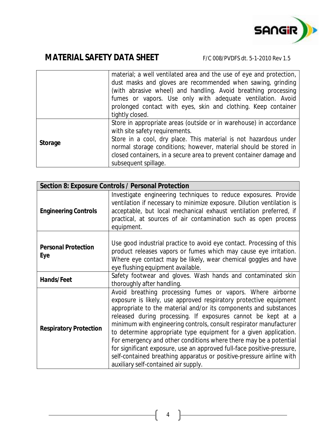

|                | material; a well ventilated area and the use of eye and protection, |
|----------------|---------------------------------------------------------------------|
|                | dust masks and gloves are recommended when sawing, grinding         |
|                | (with abrasive wheel) and handling. Avoid breathing processing      |
|                | fumes or vapors. Use only with adequate ventilation. Avoid          |
|                | prolonged contact with eyes, skin and clothing. Keep container      |
|                | tightly closed.                                                     |
| <b>Storage</b> | Store in appropriate areas (outside or in warehouse) in accordance  |
|                | with site safety requirements.                                      |
|                | Store in a cool, dry place. This material is not hazardous under    |
|                | normal storage conditions; however, material should be stored in    |
|                | closed containers, in a secure area to prevent container damage and |
|                | subsequent spillage.                                                |

| <b>Section 8: Exposure Controls / Personal Protection</b> |                                                                                                                                                                                                                                                                                                                                                                                                                                                                                                                                                                                                                                                                              |  |
|-----------------------------------------------------------|------------------------------------------------------------------------------------------------------------------------------------------------------------------------------------------------------------------------------------------------------------------------------------------------------------------------------------------------------------------------------------------------------------------------------------------------------------------------------------------------------------------------------------------------------------------------------------------------------------------------------------------------------------------------------|--|
| <b>Engineering Controls</b>                               | Investigate engineering techniques to reduce exposures. Provide<br>ventilation if necessary to minimize exposure. Dilution ventilation is<br>acceptable, but local mechanical exhaust ventilation preferred, if<br>practical, at sources of air contamination such as open process<br>equipment.                                                                                                                                                                                                                                                                                                                                                                             |  |
| <b>Personal Protection</b><br>Eye                         | Use good industrial practice to avoid eye contact. Processing of this<br>product releases vapors or fumes which may cause eye irritation.<br>Where eye contact may be likely, wear chemical goggles and have<br>eye flushing equipment available.                                                                                                                                                                                                                                                                                                                                                                                                                            |  |
| <b>Hands/Feet</b>                                         | Safety footwear and gloves. Wash hands and contaminated skin<br>thoroughly after handling.                                                                                                                                                                                                                                                                                                                                                                                                                                                                                                                                                                                   |  |
| <b>Respiratory Protection</b>                             | Avoid breathing processing fumes or vapors. Where airborne<br>exposure is likely, use approved respiratory protective equipment<br>appropriate to the material and/or its components and substances<br>released during processing. If exposures cannot be kept at a<br>minimum with engineering controls, consult respirator manufacturer<br>to determine appropriate type equipment for a given application.<br>For emergency and other conditions where there may be a potential<br>for significant exposure, use an approved full-face positive-pressure,<br>self-contained breathing apparatus or positive-pressure airline with<br>auxiliary self-contained air supply. |  |

4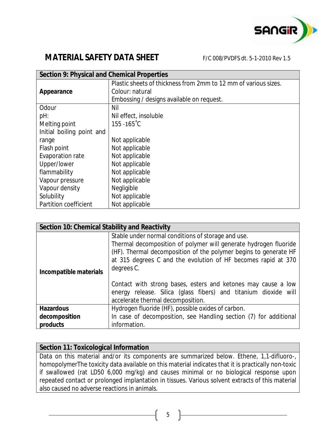

| <b>Section 9: Physical and Chemical Properties</b> |                                                                 |  |
|----------------------------------------------------|-----------------------------------------------------------------|--|
|                                                    | Plastic sheets of thickness from 2mm to 12 mm of various sizes. |  |
| Appearance                                         | Colour: natural                                                 |  |
|                                                    | Embossing / designs available on request.                       |  |
| Odour                                              | Nil                                                             |  |
| pH:                                                | Nil effect, insoluble                                           |  |
| Melting point                                      | $155 - 165^{\circ}C$                                            |  |
| Initial boiling point and                          |                                                                 |  |
| range                                              | Not applicable                                                  |  |
| Flash point                                        | Not applicable                                                  |  |
| Evaporation rate                                   | Not applicable                                                  |  |
| Upper/lower                                        | Not applicable                                                  |  |
| flammability                                       | Not applicable                                                  |  |
| Vapour pressure                                    | Not applicable                                                  |  |
| Vapour density                                     | Negligible                                                      |  |
| Solubility                                         | Not applicable                                                  |  |
| Partition coefficient                              | Not applicable                                                  |  |

| <b>Section 10: Chemical Stability and Reactivity</b> |                                                                   |  |
|------------------------------------------------------|-------------------------------------------------------------------|--|
| Stable under normal conditions of storage and use.   |                                                                   |  |
|                                                      | Thermal decomposition of polymer will generate hydrogen fluoride  |  |
|                                                      | (HF). Thermal decomposition of the polymer begins to generate HF  |  |
|                                                      | at 315 degrees C and the evolution of HF becomes rapid at 370     |  |
|                                                      | degrees C.                                                        |  |
| Incompatible materials                               |                                                                   |  |
|                                                      | Contact with strong bases, esters and ketones may cause a low     |  |
|                                                      | energy release. Silica (glass fibers) and titanium dioxide will   |  |
|                                                      | accelerate thermal decomposition.                                 |  |
| <b>Hazardous</b>                                     | Hydrogen fluoride (HF), possible oxides of carbon.                |  |
| decomposition                                        | In case of decomposition, see Handling section (7) for additional |  |
| products                                             | information.                                                      |  |

### **Section 11: Toxicological Information**

Data on this material and/or its components are summarized below. Ethene, 1,1-difluoro-, homopolymerThe toxicity data available on this material indicates that it is practically non-toxic if swallowed (rat LD50 6,000 mg/kg) and causes minimal or no biological response upon repeated contact or prolonged implantation in tissues. Various solvent extracts of this material also caused no adverse reactions in animals.